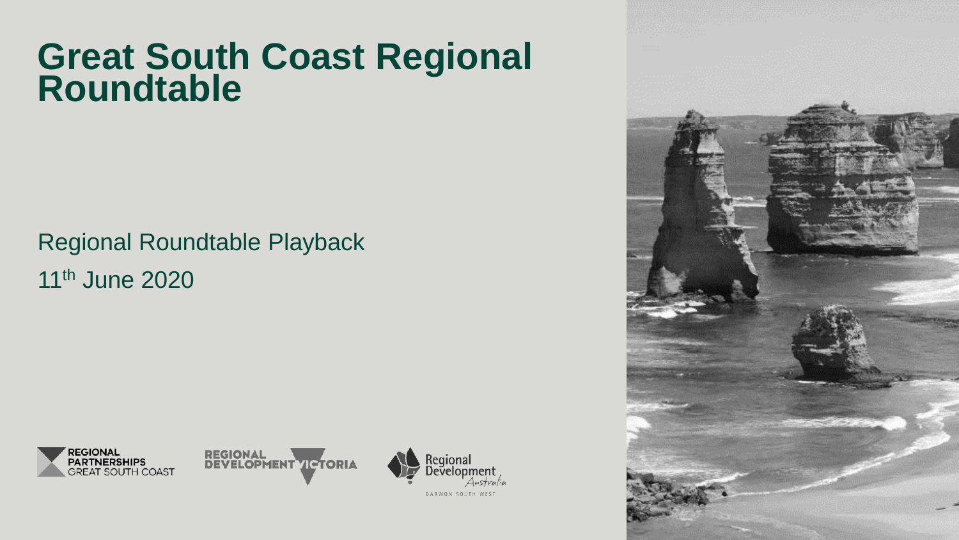# **Great South Coast Regional Roundtable**

## Regional Roundtable Playback 11th June 2020





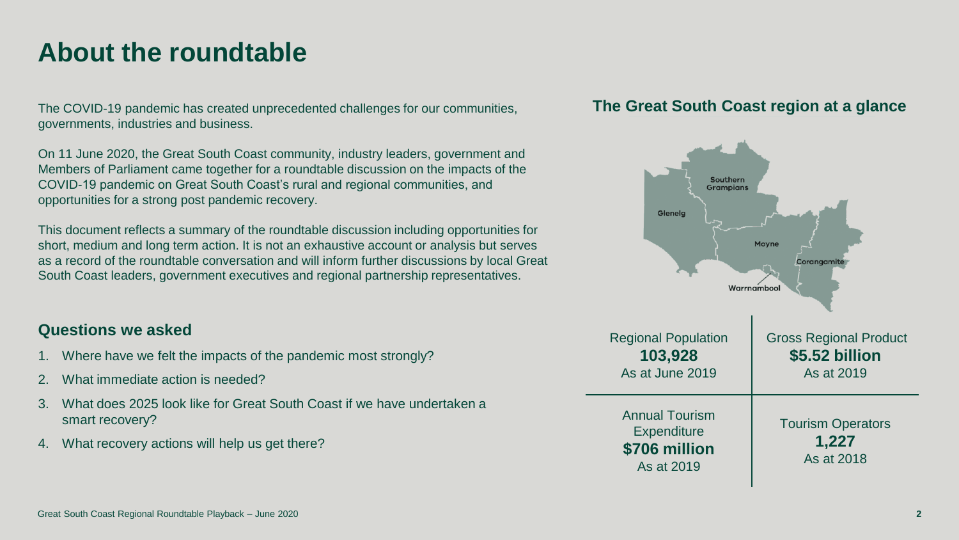### **About the roundtable**

The COVID-19 pandemic has created unprecedented challenges for our communities, governments, industries and business.

On 11 June 2020, the Great South Coast community, industry leaders, government and Members of Parliament came together for a roundtable discussion on the impacts of the COVID-19 pandemic on Great South Coast's rural and regional communities, and opportunities for a strong post pandemic recovery.

This document reflects a summary of the roundtable discussion including opportunities for short, medium and long term action. It is not an exhaustive account or analysis but serves as a record of the roundtable conversation and will inform further discussions by local Great South Coast leaders, government executives and regional partnership representatives.

### **Questions we asked**

- 1. Where have we felt the impacts of the pandemic most strongly?
- 2. What immediate action is needed?
- 3. What does 2025 look like for Great South Coast if we have undertaken a smart recovery?
- 4. What recovery actions will help us get there?

### **The Great South Coast region at a glance**

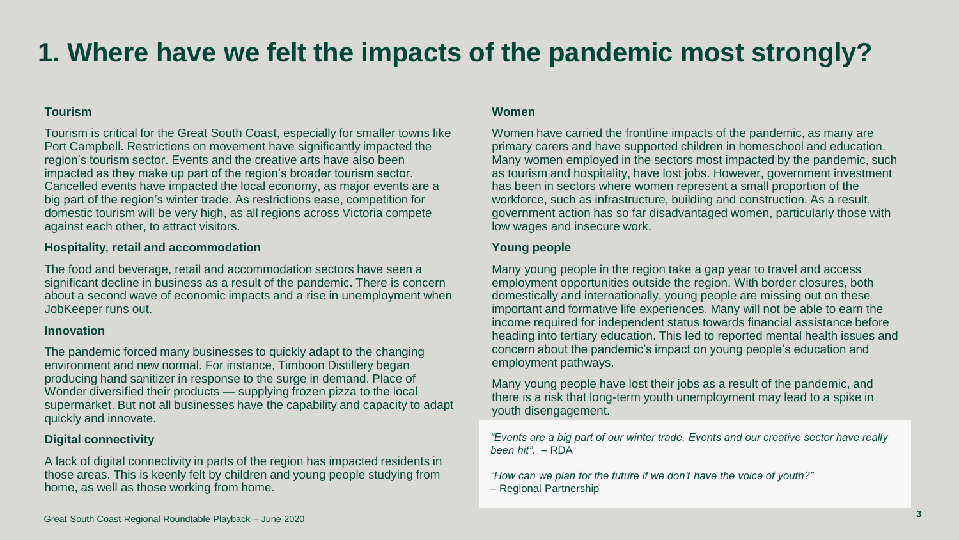## **1. Where have we felt the impacts of the pandemic most strongly?**

#### **Tourism**

Tourism is critical for the Great South Coast, especially for smaller towns like Port Campbell. Restrictions on movement have significantly impacted the region's tourism sector. Events and the creative arts have also been impacted as they make up part of the region's broader tourism sector. Cancelled events have impacted the local economy, as major events are a big part of the region's winter trade. As restrictions ease, competition for domestic tourism will be very high, as all regions across Victoria compete against each other, to attract visitors.

#### **Hospitality, retail and accommodation**

The food and beverage, retail and accommodation sectors have seen a significant decline in business as a result of the pandemic. There is concern about a second wave of economic impacts and a rise in unemployment when JobKeeper runs out.

#### **Innovation**

The pandemic forced many businesses to quickly adapt to the changing environment and new normal. For instance, Timboon Distillery began producing hand sanitizer in response to the surge in demand. Place of Wonder diversified their products — supplying frozen pizza to the local supermarket. But not all businesses have the capability and capacity to adapt quickly and innovate.

#### **Digital connectivity**

A lack of digital connectivity in parts of the region has impacted residents in those areas. This is keenly felt by children and young people studying from home, as well as those working from home.

#### **Women**

Women have carried the frontline impacts of the pandemic, as many are primary carers and have supported children in homeschool and education. Many women employed in the sectors most impacted by the pandemic, such as tourism and hospitality, have lost jobs. However, government investment has been in sectors where women represent a small proportion of the workforce, such as infrastructure, building and construction. As a result, government action has so far disadvantaged women, particularly those with low wages and insecure work.

#### **Young people**

Many young people in the region take a gap year to travel and access employment opportunities outside the region. With border closures, both domestically and internationally, young people are missing out on these important and formative life experiences. Many will not be able to earn the income required for independent status towards financial assistance before heading into tertiary education. This led to reported mental health issues and concern about the pandemic's impact on young people's education and employment pathways.

Many young people have lost their jobs as a result of the pandemic, and there is a risk that long-term youth unemployment may lead to a spike in youth disengagement.

*"Events are a big part of our winter trade. Events and our creative sector have really been hit".* – RDA

*"How can we plan for the future if we don't have the voice of youth?"*  – Regional Partnership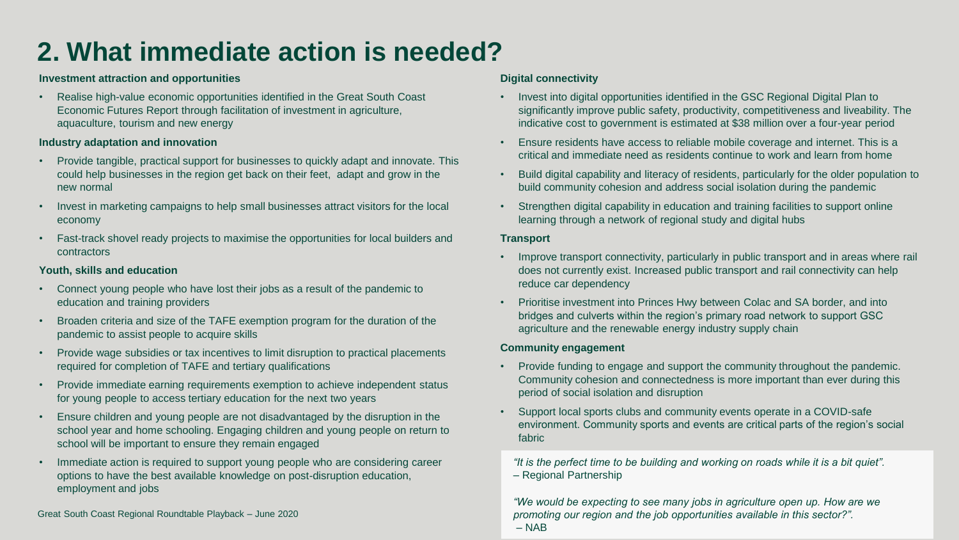## **2. What immediate action is needed?**

#### **Investment attraction and opportunities**

• Realise high-value economic opportunities identified in the Great South Coast Economic Futures Report through facilitation of investment in agriculture, aquaculture, tourism and new energy

#### **Industry adaptation and innovation**

- Provide tangible, practical support for businesses to quickly adapt and innovate. This could help businesses in the region get back on their feet, adapt and grow in the new normal
- Invest in marketing campaigns to help small businesses attract visitors for the local economy
- Fast-track shovel ready projects to maximise the opportunities for local builders and contractors

#### **Youth, skills and education**

- Connect young people who have lost their jobs as a result of the pandemic to education and training providers
- Broaden criteria and size of the TAFE exemption program for the duration of the pandemic to assist people to acquire skills
- Provide wage subsidies or tax incentives to limit disruption to practical placements required for completion of TAFE and tertiary qualifications
- Provide immediate earning requirements exemption to achieve independent status for young people to access tertiary education for the next two years
- Ensure children and young people are not disadvantaged by the disruption in the school year and home schooling. Engaging children and young people on return to school will be important to ensure they remain engaged
- Immediate action is required to support young people who are considering career options to have the best available knowledge on post-disruption education, employment and jobs

Great South Coast Regional Roundtable Playback – June 2020

#### **Digital connectivity**

- Invest into digital opportunities identified in the GSC Regional Digital Plan to significantly improve public safety, productivity, competitiveness and liveability. The indicative cost to government is estimated at \$38 million over a four-year period
- Ensure residents have access to reliable mobile coverage and internet. This is a critical and immediate need as residents continue to work and learn from home
- Build digital capability and literacy of residents, particularly for the older population to build community cohesion and address social isolation during the pandemic
- Strengthen digital capability in education and training facilities to support online learning through a network of regional study and digital hubs

#### **Transport**

- Improve transport connectivity, particularly in public transport and in areas where rail does not currently exist. Increased public transport and rail connectivity can help reduce car dependency
- Prioritise investment into Princes Hwy between Colac and SA border, and into bridges and culverts within the region's primary road network to support GSC agriculture and the renewable energy industry supply chain

#### **Community engagement**

- Provide funding to engage and support the community throughout the pandemic. Community cohesion and connectedness is more important than ever during this period of social isolation and disruption
- Support local sports clubs and community events operate in a COVID-safe environment. Community sports and events are critical parts of the region's social fabric

*"It is the perfect time to be building and working on roads while it is a bit quiet".* – Regional Partnership

*"We would be expecting to see many jobs in agriculture open up. How are we promoting our region and the job opportunities available in this sector?".* – NAB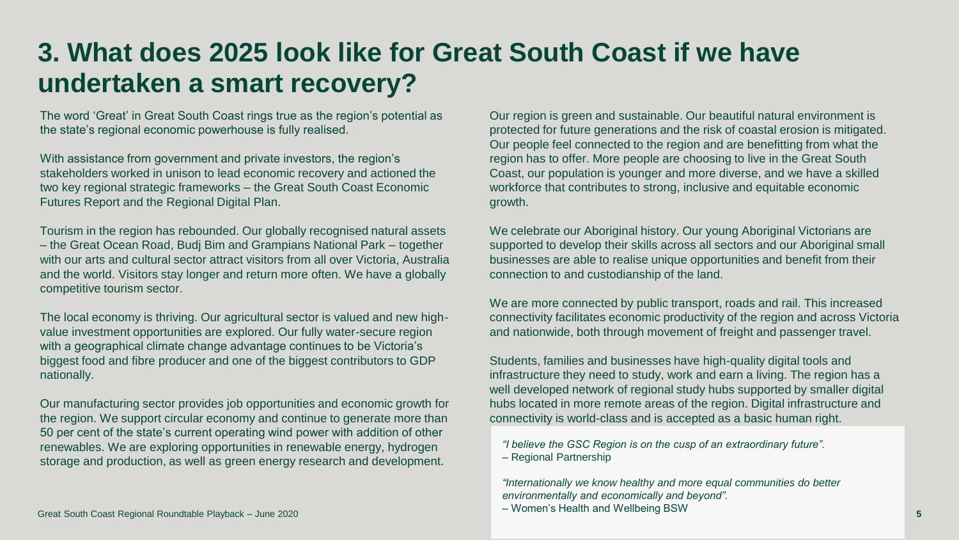### **3. What does 2025 look like for Great South Coast if we have undertaken a smart recovery?**

The word 'Great' in Great South Coast rings true as the region's potential as the state's regional economic powerhouse is fully realised.

With assistance from government and private investors, the region's stakeholders worked in unison to lead economic recovery and actioned the two key regional strategic frameworks – the Great South Coast Economic Futures Report and the Regional Digital Plan.

Tourism in the region has rebounded. Our globally recognised natural assets – the Great Ocean Road, Budj Bim and Grampians National Park – together with our arts and cultural sector attract visitors from all over Victoria, Australia and the world. Visitors stay longer and return more often. We have a globally competitive tourism sector.

The local economy is thriving. Our agricultural sector is valued and new highvalue investment opportunities are explored. Our fully water-secure region with a geographical climate change advantage continues to be Victoria's biggest food and fibre producer and one of the biggest contributors to GDP nationally.

Our manufacturing sector provides job opportunities and economic growth for the region. We support circular economy and continue to generate more than 50 per cent of the state's current operating wind power with addition of other renewables. We are exploring opportunities in renewable energy, hydrogen storage and production, as well as green energy research and development.

Great South Coast Regional Roundtable Playback – June 2020

Our region is green and sustainable. Our beautiful natural environment is protected for future generations and the risk of coastal erosion is mitigated. Our people feel connected to the region and are benefitting from what the region has to offer. More people are choosing to live in the Great South Coast, our population is younger and more diverse, and we have a skilled workforce that contributes to strong, inclusive and equitable economic growth.

We celebrate our Aboriginal history. Our young Aboriginal Victorians are supported to develop their skills across all sectors and our Aboriginal small businesses are able to realise unique opportunities and benefit from their connection to and custodianship of the land.

We are more connected by public transport, roads and rail. This increased connectivity facilitates economic productivity of the region and across Victoria and nationwide, both through movement of freight and passenger travel.

Students, families and businesses have high-quality digital tools and infrastructure they need to study, work and earn a living. The region has a well developed network of regional study hubs supported by smaller digital hubs located in more remote areas of the region. Digital infrastructure and connectivity is world-class and is accepted as a basic human right.

*"I believe the GSC Region is on the cusp of an extraordinary future".*  – Regional Partnership

*"Internationally we know healthy and more equal communities do better environmentally and economically and beyond".*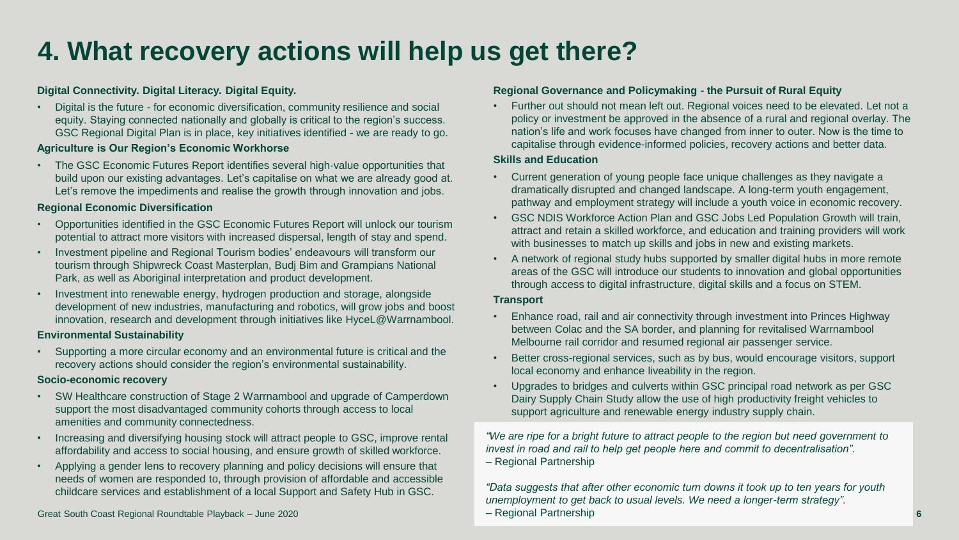## **4. What recovery actions will help us get there?**

#### **Digital Connectivity. Digital Literacy. Digital Equity.**

• Digital is the future - for economic diversification, community resilience and social equity. Staying connected nationally and globally is critical to the region's success. GSC Regional Digital Plan is in place, key initiatives identified - we are ready to go.

#### **Agriculture is Our Region's Economic Workhorse**

• The GSC Economic Futures Report identifies several high-value opportunities that build upon our existing advantages. Let's capitalise on what we are already good at. Let's remove the impediments and realise the growth through innovation and jobs.

#### **Regional Economic Diversification**

- Opportunities identified in the GSC Economic Futures Report will unlock our tourism potential to attract more visitors with increased dispersal, length of stay and spend.
- Investment pipeline and Regional Tourism bodies' endeavours will transform our tourism through Shipwreck Coast Masterplan, Budj Bim and Grampians National Park, as well as Aboriginal interpretation and product development.
- Investment into renewable energy, hydrogen production and storage, alongside development of new industries, manufacturing and robotics, will grow jobs and boost innovation, research and development through initiatives like HyceL@Warrnambool.

#### **Environmental Sustainability**

• Supporting a more circular economy and an environmental future is critical and the recovery actions should consider the region's environmental sustainability.

#### **Socio-economic recovery**

- SW Healthcare construction of Stage 2 Warrnambool and upgrade of Camperdown support the most disadvantaged community cohorts through access to local amenities and community connectedness.
- Increasing and diversifying housing stock will attract people to GSC, improve rental affordability and access to social housing, and ensure growth of skilled workforce.
- Applying a gender lens to recovery planning and policy decisions will ensure that needs of women are responded to, through provision of affordable and accessible childcare services and establishment of a local Support and Safety Hub in GSC.

#### Great South Coast Regional Roundtable Playback – June 2020

#### **Regional Governance and Policymaking - the Pursuit of Rural Equity**

• Further out should not mean left out. Regional voices need to be elevated. Let not a policy or investment be approved in the absence of a rural and regional overlay. The nation's life and work focuses have changed from inner to outer. Now is the time to capitalise through evidence-informed policies, recovery actions and better data.

#### **Skills and Education**

- Current generation of young people face unique challenges as they navigate a dramatically disrupted and changed landscape. A long-term youth engagement, pathway and employment strategy will include a youth voice in economic recovery.
- GSC NDIS Workforce Action Plan and GSC Jobs Led Population Growth will train, attract and retain a skilled workforce, and education and training providers will work with businesses to match up skills and jobs in new and existing markets.
- A network of regional study hubs supported by smaller digital hubs in more remote areas of the GSC will introduce our students to innovation and global opportunities through access to digital infrastructure, digital skills and a focus on STEM.

#### **Transport**

- Enhance road, rail and air connectivity through investment into Princes Highway between Colac and the SA border, and planning for revitalised Warrnambool Melbourne rail corridor and resumed regional air passenger service.
- Better cross-regional services, such as by bus, would encourage visitors, support local economy and enhance liveability in the region.
- Upgrades to bridges and culverts within GSC principal road network as per GSC Dairy Supply Chain Study allow the use of high productivity freight vehicles to support agriculture and renewable energy industry supply chain.

*"We are ripe for a bright future to attract people to the region but need government to invest in road and rail to help get people here and commit to decentralisation".* – Regional Partnership

*"Data suggests that after other economic turn downs it took up to ten years for youth unemployment to get back to usual levels. We need a longer-term strategy".*

– Regional Partnership **6**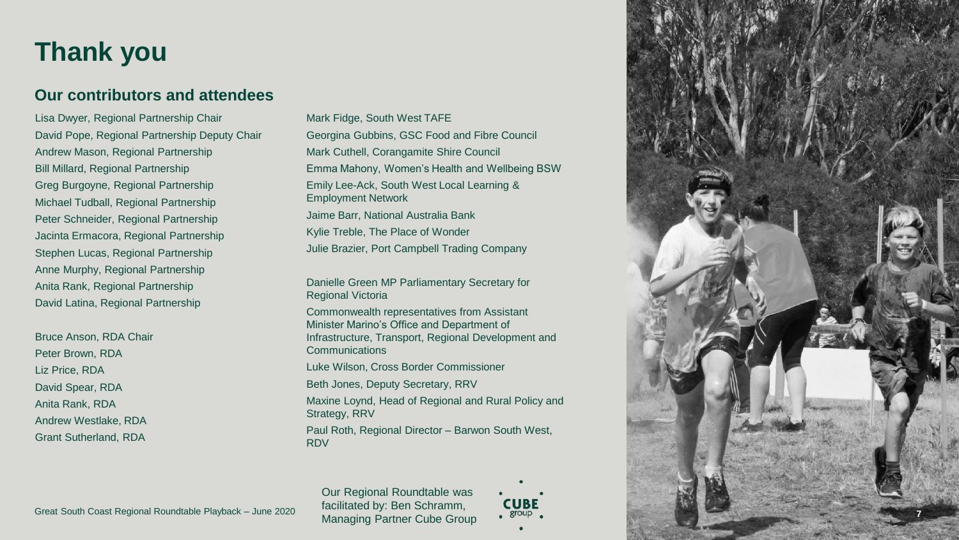### **Thank you**

### **Our contributors and attendees**

Lisa Dwyer, Regional Partnership Chair David Pope, Regional Partnership Deputy Chair Andrew Mason, Regional Partnership Bill Millard, Regional Partnership Greg Burgoyne, Regional Partnership Michael Tudball, Regional Partnership Peter Schneider, Regional Partnership Jacinta Ermacora, Regional Partnership Stephen Lucas, Regional Partnership Anne Murphy, Regional Partnership Anita Rank, Regional Partnership David Latina, Regional Partnership

Bruce Anson, RDA Chair Peter Brown, RDA Liz Price, RDA David Spear, RDA Anita Rank, RDA Andrew Westlake, RDA Grant Sutherland, RDA

Mark Fidge, South West TAFE Georgina Gubbins, GSC Food and Fibre Council Mark Cuthell, Corangamite Shire Council Emma Mahony, Women's Health and Wellbeing BSW Emily Lee -Ack, South West Local Learning & Employment Network Jaime Barr, National Australia Bank Kylie Treble, The Place of Wonder Julie Brazier, Port Campbell Trading Company

Danielle Green MP Parliamentary Secretary for Regional Victoria

Commonwealth representatives from Assistant Minister Marino's Office and Department of Infrastructure, Transport, Regional Development and Communications

Luke Wilson, Cross Border Commissioner

Beth Jones, Deputy Secretary, RRV

Maxine Loynd, Head of Regional and Rural Policy and Strategy, RRV

Paul Roth, Regional Director – Barwon South West, RDV

Our Regional Roundtable was facilitated by: Ben Schramm, Managing Partner Cube Group